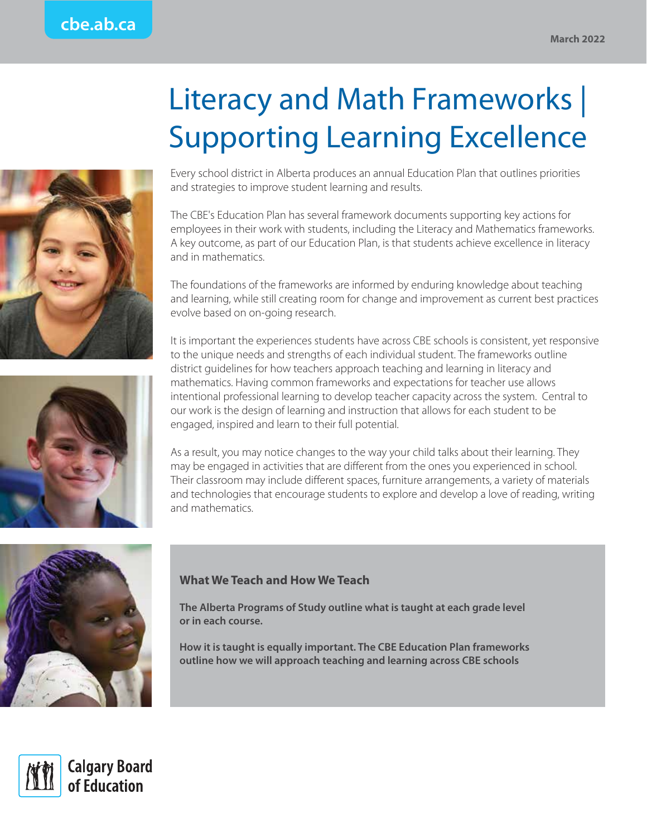

# Literacy and Math Frameworks | Supporting Learning Excellence

Every school district in Alberta produces an annual Education Plan that outlines priorities and strategies to improve student learning and results.

The CBE's Education Plan has several framework documents supporting key actions for employees in their work with students, including the Literacy and Mathematics frameworks. A key outcome, as part of our Education Plan, is that students achieve excellence in literacy and in mathematics.

The foundations of the frameworks are informed by enduring knowledge about teaching and learning, while still creating room for change and improvement as current best practices evolve based on on-going research.

It is important the experiences students have across CBE schools is consistent, yet responsive to the unique needs and strengths of each individual student. The frameworks outline district guidelines for how teachers approach teaching and learning in literacy and mathematics. Having common frameworks and expectations for teacher use allows intentional professional learning to develop teacher capacity across the system. Central to our work is the design of learning and instruction that allows for each student to be engaged, inspired and learn to their full potential.

As a result, you may notice changes to the way your child talks about their learning. They may be engaged in activities that are different from the ones you experienced in school. Their classroom may include different spaces, furniture arrangements, a variety of materials and technologies that encourage students to explore and develop a love of reading, writing and mathematics.



## **What We Teach and How We Teach**

**The Alberta Programs of Study outline what is taught at each grade level or in each course.** 

**How it is taught is equally important. The CBE Education Plan frameworks outline how we will approach teaching and learning across CBE schools**



**Calgary Board** of Education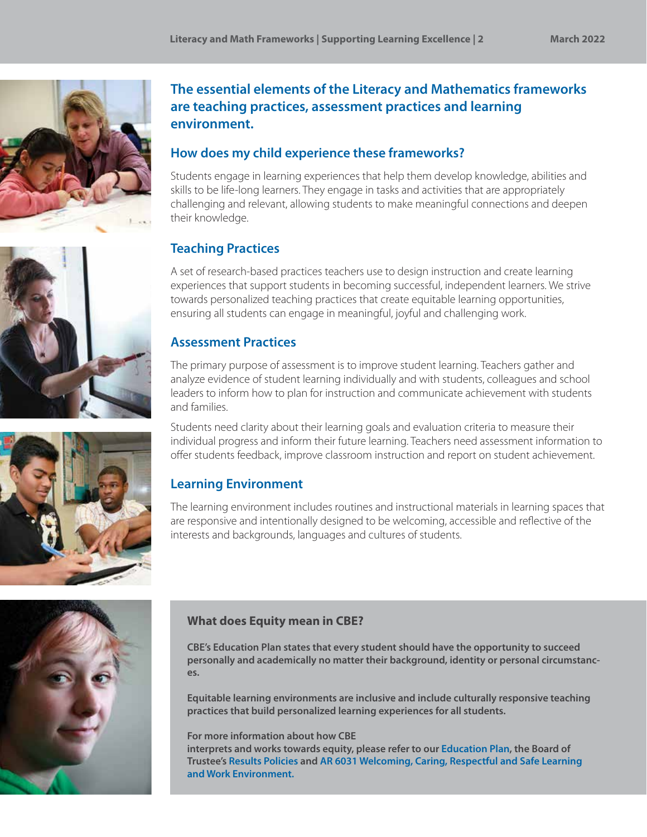

## **The essential elements of the Literacy and Mathematics frameworks are teaching practices, assessment practices and learning environment.**

## **How does my child experience these frameworks?**

Students engage in learning experiences that help them develop knowledge, abilities and skills to be life-long learners. They engage in tasks and activities that are appropriately challenging and relevant, allowing students to make meaningful connections and deepen their knowledge.

# **Teaching Practices**

A set of research-based practices teachers use to design instruction and create learning experiences that support students in becoming successful, independent learners. We strive towards personalized teaching practices that create equitable learning opportunities, ensuring all students can engage in meaningful, joyful and challenging work.

## **Assessment Practices**

The primary purpose of assessment is to improve student learning. Teachers gather and analyze evidence of student learning individually and with students, colleagues and school leaders to inform how to plan for instruction and communicate achievement with students and families.

Students need clarity about their learning goals and evaluation criteria to measure their individual progress and inform their future learning. Teachers need assessment information to offer students feedback, improve classroom instruction and report on student achievement.

# **Learning Environment**

The learning environment includes routines and instructional materials in learning spaces that are responsive and intentionally designed to be welcoming, accessible and reflective of the interests and backgrounds, languages and cultures of students.



## **What does Equity mean in CBE?**

**CBE's Education Plan states that every student should have the opportunity to succeed personally and academically no matter their background, identity or personal circumstances.** 

**Equitable learning environments are inclusive and include culturally responsive teaching practices that build personalized learning experiences for all students.**

#### **For more information about how CBE**

**interprets and works towards equity, please refer to our Education Plan, the Board of Trustee's Results Policies and AR 6031 Welcoming, Caring, Respectful and Safe Learning and Work Environment.** 



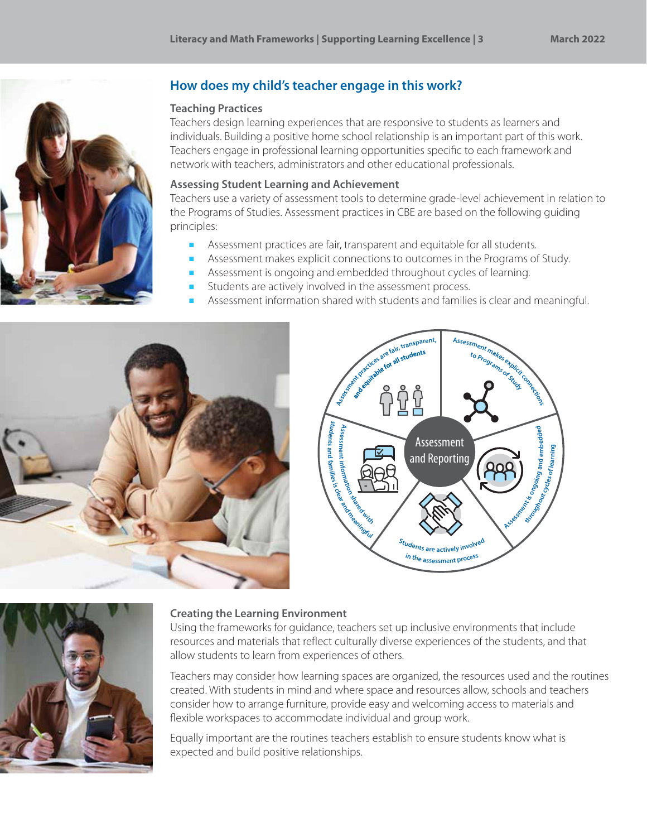

## **How does my child's teacher engage in this work?**

#### **Teaching Practices**

Teachers design learning experiences that are responsive to students as learners and individuals. Building a positive home school relationship is an important part of this work. Teachers engage in professional learning opportunities specific to each framework and network with teachers, administrators and other educational professionals.

#### **Assessing Student Learning and Achievement**

Teachers use a variety of assessment tools to determine grade-level achievement in relation to the Programs of Studies. Assessment practices in CBE are based on the following guiding principles:

- Assessment practices are fair, transparent and equitable for all students.
- Assessment makes explicit connections to outcomes in the Programs of Study.
- Assessment is ongoing and embedded throughout cycles of learning.
- Students are actively involved in the assessment process.
- Assessment information shared with students and families is clear and meaningful.







#### **Creating the Learning Environment**

Using the frameworks for guidance, teachers set up inclusive environments that include resources and materials that reflect culturally diverse experiences of the students, and that allow students to learn from experiences of others.

Teachers may consider how learning spaces are organized, the resources used and the routines created. With students in mind and where space and resources allow, schools and teachers consider how to arrange furniture, provide easy and welcoming access to materials and flexible workspaces to accommodate individual and group work.

Equally important are the routines teachers establish to ensure students know what is expected and build positive relationships.